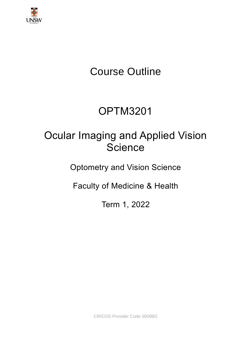

# Course Outline

# OPTM3201

# Ocular Imaging and Applied Vision Science

Optometry and Vision Science

Faculty of Medicine & Health

Term 1, 2022

CRICOS Provider Code 00098G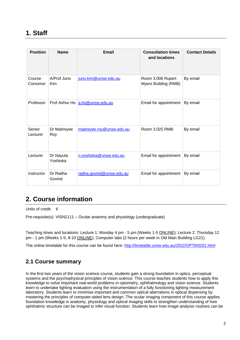## **1. Staff**

| <b>Position</b>    | <b>Name</b>               | Email                           | <b>Consultation times</b><br>and locations | <b>Contact Details</b> |
|--------------------|---------------------------|---------------------------------|--------------------------------------------|------------------------|
| Course<br>Convenor | A/Prof Juno<br><b>Kim</b> | juno.kim@unsw.edu.au            | Room 3.006 Rupert<br>Myers Building (RMB)  | By email               |
| Professor          |                           | Prof Arthur Ho a.ho@unsw.edu.au | Email for appointment                      | By email               |
| Senior<br>Lecturer | Dr Maitreyee<br>Roy       | maitreyee.roy@unsw.edu.au       | Room 3.025 RMB                             | By email               |
| Lecturer           | Dr Nayuta<br>Yoshioka     | n.yoshioka@unsw.edu.au          | Email for appointment                      | By email               |
| Instructor         | Dr Radha<br>Govind        | radha.govind@unsw.edu.au        | Email for appointment                      | By email               |

# **2. Course information**

Units of credit: 6

Pre-requisite(s): VISN2111 – Ocular anatomy and physiology (undergraduate)

Teaching times and locations: Lecture 1: Monday 4 pm - 5 pm (Weeks 1-5 ONLINE); Lecture 2: Thursday 12 pm - 1 pm (Weeks 1-5, 8-10 ONLINE); Computer labs (2 hours per week in Old Main Building LG21).

The online timetable for this course can be found here: <http://timetable.unsw.edu.au/2022/OPTM3201.html>

### **2.1 Course summary**

In the first two years of the vision science course, students gain a strong foundation in optics, perceptual systems and the psychophysical principles of vision science. This course teaches students how to apply this knowledge to solve important real-world problems in optometry, ophthalmology and vision science. Students learn to undertake lighting evaluation using the instrumentation of a fully functioning lighting measurement laboratory. Students learn to minimise important and common optical aberrations in optical dispensing by mastering the principles of computer-aided lens design. The ocular imaging component of this course applies foundation knowledge in anatomy, physiology and optical imaging skills to strengthen understanding of how ophthalmic structure can be imaged to infer visual function. Students learn how image analysis routines can be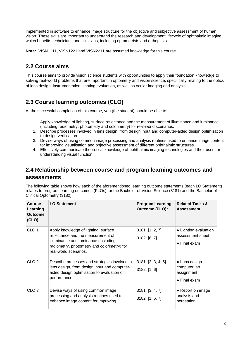implemented in software to enhance image structure for the objective and subjective assessment of human vision. These skills are important to understand the research and development lifecycle of ophthalmic imaging, which benefits technicians and clinicians, including optometrists and orthoptists.

**Note:** VISN1111, VISN1221 and VISN2211 are assumed knowledge for this course.

## **2.2 Course aims**

This course aims to provide vision science students with opportunities to apply their foundation knowledge to solving real-world problems that are important in optometry and vision science, specifically relating to the optics of lens design, instrumentation, lighting evaluation, as well as ocular imaging and analysis.

## **2.3 Course learning outcomes (CLO)**

At the successful completion of this course, you (the student) should be able to:

- 1. Apply knowledge of lighting, surface reflectance and the measurement of illuminance and luminance (including radiometry, photometry and colorimetry) for real-world scenarios.
- 2. Describe processes involved in lens design, from design input and computer-aided design optimisation to design verification.
- 3. Devise ways of using common image processing and analysis routines used to enhance image content for improving visualisation and objective assessment of different ophthalmic structures.
- 4. Effectively communicate theoretical knowledge of ophthalmic imaging technologies and their uses for understanding visual function.

### **2.4 Relationship between course and program learning outcomes and assessments**

The following table shows how each of the aforementioned learning outcome statements (each LO Statement) relates to program learning outcomes (PLOs) for the Bachelor of Vision Science (3181) and the Bachelor of Clinical Optometry (3182).

| <b>Course</b><br>Learning<br><b>Outcome</b><br>(CLO) | <b>LO Statement</b>                                                                                                                                                                        | <b>Program Learning</b><br>Outcome (PLO)* | <b>Related Tasks &amp;</b><br><b>Assessment</b>                     |
|------------------------------------------------------|--------------------------------------------------------------------------------------------------------------------------------------------------------------------------------------------|-------------------------------------------|---------------------------------------------------------------------|
| CLO <sub>1</sub>                                     | Apply knowledge of lighting, surface<br>reflectance and the measurement of<br>illuminance and luminance (including<br>radiometry, photometry and colorimetry) for<br>real-world scenarios. | 3181: [1, 2, 7]<br>3182: [6, 7]           | • Lighting evaluation<br>assessment sheet<br>$\bullet$ Final exam   |
| CLO <sub>2</sub>                                     | Describe processes and strategies involved in<br>lens design, from design input and computer-<br>aided design optimisation to evaluation of<br>performance.                                | 3181: [2, 3, 4, 5]<br>3182: [1, 6]        | • Lens design<br>computer lab<br>assignment<br>$\bullet$ Final exam |
| CLO <sub>3</sub>                                     | Devise ways of using common image<br>processing and analysis routines used to<br>enhance image content for improving                                                                       | 3181: [3, 4, 7]<br>3182: [1, 6, 7]        | • Report on image<br>analysis and<br>perception                     |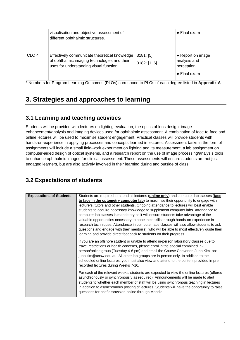|                  | visualisation and objective assessment of<br>different ophthalmic structures.                                                            |                             | $\bullet$ Final exam                                                    |
|------------------|------------------------------------------------------------------------------------------------------------------------------------------|-----------------------------|-------------------------------------------------------------------------|
| CLO <sub>4</sub> | Effectively communicate theoretical knowledge<br>of ophthalmic imaging technologies and their<br>uses for understanding visual function. | $3181:$ [5]<br>3182: [1, 6] | • Report on image<br>analysis and<br>perception<br>$\bullet$ Final exam |

\* Numbers for Program Learning Outcomes (PLOs) correspond to PLOs of each degree listed in **Appendix A**.

# **3. Strategies and approaches to learning**

## **3.1 Learning and teaching activities**

Students will be provided with lectures on lighting evaluation, the optics of lens design, image enhancement/analysis and imaging devices used for ophthalmic assessment. A combination of face-to-face and online lectures will be used to maximise student engagement. Practical classes will provide students with hands-on-experience in applying processes and concepts learned in lectures. Assessment tasks in the form of assignments will include a small field-work experiment on lighting and its measurement, a lab assignment on computer-aided design of optical systems, and a research report on the use of image processing/analysis tools to enhance ophthalmic images for clinical assessment. These assessments will ensure students are not just engaged learners, but are also actively involved in their learning during and outside of class.

## **3.2 Expectations of students**

| <b>Expectations of Students</b> | Students are required to attend all lectures (online only) and computer lab classes (face                                                                                                                                                                                                                                                                                                                                                                                                |
|---------------------------------|------------------------------------------------------------------------------------------------------------------------------------------------------------------------------------------------------------------------------------------------------------------------------------------------------------------------------------------------------------------------------------------------------------------------------------------------------------------------------------------|
|                                 | to face in the optometry computer lab) to maximise their opportunity to engage with                                                                                                                                                                                                                                                                                                                                                                                                      |
|                                 | lecturers, tutors and other students. Ongoing attendance to lectures will best enable                                                                                                                                                                                                                                                                                                                                                                                                    |
|                                 | students to acquire necessary knowledge to supplement computer labs. Attendance to                                                                                                                                                                                                                                                                                                                                                                                                       |
|                                 | computer lab classes is mandatory as it will ensure students take advantage of the                                                                                                                                                                                                                                                                                                                                                                                                       |
|                                 | valuable opportunities necessary to hone their skills through hands-on-experience in                                                                                                                                                                                                                                                                                                                                                                                                     |
|                                 | research techniques. Attendance in computer labs classes will also allow students to ask                                                                                                                                                                                                                                                                                                                                                                                                 |
|                                 | questions and engage with their mentor(s), who will be able to most effectively guide their                                                                                                                                                                                                                                                                                                                                                                                              |
|                                 | learning and provide direct feedback to students on their progress.                                                                                                                                                                                                                                                                                                                                                                                                                      |
|                                 | If you are an offshore student or unable to attend in-person laboratory classes due to<br>travel restrictions or health concerns, please enrol in the special combined in-<br>person/online group (Tuesday 4-6 pm) and email the Course Convener, Juno Kim, on:<br>juno.kim@unsw.edu.au. All other lab groups are in-person only. In addition to the<br>scheduled online lectures, you must also view and attend to the content provided in pre-<br>recorded lectures during Weeks 7-10. |
|                                 | For each of the relevant weeks, students are expected to view the online lectures (offered<br>asynchronously or synchronously as required). Announcements will be made to alert<br>students to whether each member of staff will be using synchronous teaching in lectures<br>in addition to asynchronous posting of lectures. Students will have the opportunity to raise<br>questions for brief discussion online through Moodle.                                                      |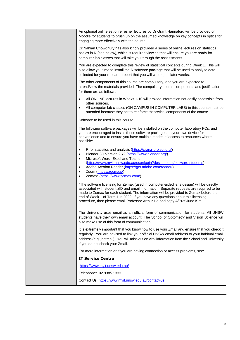An optional online set of refresher lectures by Dr Grant Hannaford will be provided on Moodle for students to brush up on the assumed knowledge on key concepts in optics for engaging more effectively with the course.

Dr Nahian Chowdhury has also kindly provided a series of online lectures on statistics basics in R (see below), which is required viewing that will ensure you are ready for computer lab classes that will take you through the assessments.

You are expected to complete this review of statistical concepts during Week 1. This will also allow you time to install the R software package that will be used to analyse data collected for your research report that you will write up in later weeks.

The other components of this course are compulsory, and you are expected to attend/view the materials provided. The compulsory course components and justification for them are as follows:

- All ONLINE lectures in Weeks 1-10 will provide information not easily accessible from other sources.
- All computer lab classes (ON CAMPUS IN COMPUTER LABS) in this course must be attended because they act to reinforce theoretical components of the course.

Software to be used in this course

The following software packages will be installed on the computer laboratory PCs, and you are encouraged to install these software packages on your own device for convenience and to ensure you have multiple modes of access to resources where possible:

- R for statistics and analysis [\(https://cran.r-project.org/\)](https://cran.r-project.org/)
- Blender 3D Version 2.79 [\(https://www.blender.org/\)](https://www.blender.org/)
- Microsoft Word, Excel and Teams
- [\(https://www.myit.unsw.edu.au/user/login?destination=/software-students\)](https://www.myit.unsw.edu.au/user/login?destination=/software-students) • Adobe Acrobat Reader [\(https://get.adobe.com/reader/\)](https://get.adobe.com/reader/)
- Zoom [\(https://zoom.us/\)](https://zoom.us/)
- Zemax\* [\(https://www.zemax.com/\)](https://www.zemax.com/)

\*The software licensing for Zemax (used in computer-aided lens design) will be directly associated with student zID and email information. Separate requests are required to be made to Zemax for each student. The information will be provided to Zemax before the end of Week 1 of Term 1 in 2022. If you have any questions about this licensing procedure, then please email Professor Arthur Ho and copy A/Prof Juno Kim.

The University uses email as an official form of communication for students. All UNSW students have their own email account. The School of Optometry and Vision Science will also make use of this form of communication.

It is extremely important that you know how to use your Zmail and ensure that you check it regularly. You are advised to link your official UNSW email address to your habitual email address (e.g., hotmail). You will miss out on vital information from the School and University if you do not check your Zmail.

For more information or if you are having connection or access problems, see:

#### **IT Service Centre**

[https://www.myit.unsw.edu.au/](http://www.it.unsw.edu.au/)

Telephone: 02 9385 1333

Contact Us: <https://www.myit.unsw.edu.au/contact-us>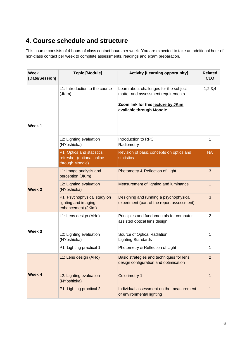# **4. Course schedule and structure**

This course consists of 4 hours of class contact hours per week. You are expected to take an additional hour of non-class contact per week to complete assessments, readings and exam preparation.

| <b>Week</b><br>[Date/Session] | <b>Topic [Module]</b>                                                      | <b>Activity [Learning opportunity]</b>                                                                                                         | <b>Related</b><br><b>CLO</b> |
|-------------------------------|----------------------------------------------------------------------------|------------------------------------------------------------------------------------------------------------------------------------------------|------------------------------|
| Week 1                        | L1: Introduction to the course<br>(JKim)                                   | Learn about challenges for the subject<br>matter and assessment requirements<br>Zoom link for this lecture by JKim<br>available through Moodle | 1, 2, 3, 4                   |
|                               | L2: Lighting evaluation<br>(NYoshioka)                                     | Introduction to RPC<br>Radiometry                                                                                                              | 1                            |
|                               | P1: Optics and statistics<br>refresher (optional online<br>through Moodle) | Revision of basic concepts on optics and<br><b>statistics</b>                                                                                  | <b>NA</b>                    |
|                               | L1: Image analysis and<br>perception (JKim)                                | Photometry & Reflection of Light                                                                                                               | 3                            |
| Week <sub>2</sub>             | L2: Lighting evaluation<br>(NYoshioka)                                     | Measurement of lighting and luminance                                                                                                          | 1                            |
|                               | P1: Psychophysical study on<br>lighting and imaging<br>enhancement (JKim)  | Designing and running a psychophysical<br>experiment (part of the report assessment)                                                           | 3                            |
|                               | L1: Lens design (AHo)                                                      | Principles and fundamentals for computer-<br>assisted optical lens design                                                                      | $\overline{2}$               |
| Week 3                        | L2: Lighting evaluation<br>(NYoshioka)                                     | Source of Optical Radiation<br><b>Lighting Standards</b>                                                                                       | 1                            |
|                               | P1: Lighting practical 1                                                   | Photometry & Reflection of Light                                                                                                               |                              |
|                               | L1: Lens design (AHo)                                                      | Basic strategies and techniques for lens<br>design configuration and optimisation                                                              | $\overline{2}$               |
| Week 4                        | L2: Lighting evaluation<br>(NYoshioka)                                     | <b>Colorimetry 1</b>                                                                                                                           | 1                            |
|                               | P1: Lighting practical 2                                                   | Individual assessment on the measurement<br>of environmental lighting                                                                          | 1                            |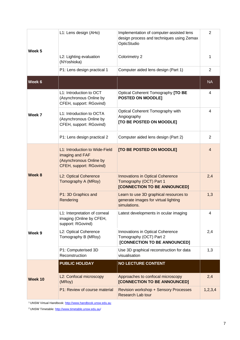| Week 5  | L1: Lens design (AHo)                                                                                   | Implementation of computer-assisted lens<br>design process and techniques using Zemax<br>OpticStudio | $\overline{2}$ |
|---------|---------------------------------------------------------------------------------------------------------|------------------------------------------------------------------------------------------------------|----------------|
|         | L2: Lighting evaluation<br>(NYoshioka)                                                                  | Colorimetry 2                                                                                        | 1              |
|         | P1: Lens design practical 1                                                                             | Computer aided lens design (Part 1)                                                                  | $\overline{2}$ |
| Week 6  |                                                                                                         |                                                                                                      | <b>NA</b>      |
|         | L1: Introduction to OCT<br>(Asynchronous Online by<br>CFEH, support: RGovind)                           | Optical Coherent Tomography [TO BE<br><b>POSTED ON MOODLE]</b>                                       | 4              |
| Week 7  | L1: Introduction to OCTA<br>(Asynchronous Online by<br>CFEH, support: RGovind)                          | Optical Coherent Tomography with<br>Angiography<br>[TO BE POSTED ON MOODLE]                          | 4              |
|         | P1: Lens design practical 2                                                                             | Computer aided lens design (Part 2)                                                                  | $\overline{2}$ |
| Week 8  | L1: Introduction to Wide-Field<br>imaging and FAF<br>(Asynchronous Online by<br>CFEH, support: RGovind) | [TO BE POSTED ON MOODLE]                                                                             | $\overline{4}$ |
|         | L2: Optical Coherence<br>Tomography A (MRoy)                                                            | <b>Innovations in Optical Coherence</b><br>Tomography (OCT) Part 1<br>[CONNECTION TO BE ANNOUNCED]   | 2,4            |
|         | P1: 3D Graphics and<br>Rendering                                                                        | Learn to use 3D graphical resources to<br>generate images for virtual lighting<br>simulations.       | 1,3            |
| Week 9  | L1: Interpretation of corneal<br>imaging (Online by CFEH,<br>support: RGovind)                          | Latest developments in ocular imaging                                                                | 4              |
|         | L2: Optical Coherence<br>Tomography B (MRoy)                                                            | Innovations in Optical Coherence<br>Tomography (OCT) Part 2<br>[CONNECTION TO BE ANNOUNCED]          | 2,4            |
|         | P1: Computerised 3D<br>Reconstruction                                                                   | Use 3D graphical reconstruction for data<br>visualisation                                            | 1,3            |
|         | <b>PUBLIC HOLIDAY</b>                                                                                   | <b>NO LECTURE CONTENT</b>                                                                            |                |
| Week 10 | L2: Confocal microscopy<br>(MRoy)                                                                       | Approaches to confocal microscopy<br>[CONNECTION TO BE ANNOUNCED]                                    | 2,4            |
|         | P1: Review of course material                                                                           | <b>Revision workshop + Sensory Processes</b><br><b>Research Lab tour</b>                             | 1, 2, 3, 4     |

<sup>1</sup> UNSW Virtual Handbook[: http://www.handbook.unsw.edu.au](https://www.handbook.unsw.edu.au/)

2 UNSW Timetable:<http://www.timetable.unsw.edu.au/>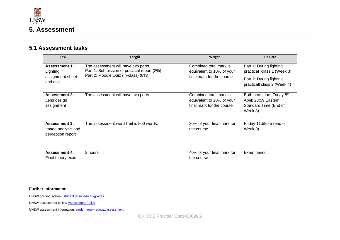

### **5.1 Assessment tasks**

| <b>Task</b>                                                      | Length                                                                                                                    | Weight                                                                            | Due Date                                                                                                        |
|------------------------------------------------------------------|---------------------------------------------------------------------------------------------------------------------------|-----------------------------------------------------------------------------------|-----------------------------------------------------------------------------------------------------------------|
| <b>Assessment 1:</b><br>Lighting<br>assignment sheet<br>and quiz | The assessment will have two parts.<br>Part 1: Submission of practical report (2%)<br>Part 2: Moodle Quiz (In-class) (8%) | Combined total mark is<br>equivalent to 10% of your<br>final mark for the course. | Part 1: During lighting<br>practical class 1 (Week 3)<br>Part 2: During lighting<br>practicall class 2 (Week 4) |
| <b>Assessment 2:</b><br>Lens design<br>assignment                | The assessment will have two parts.                                                                                       | Combined total mark is<br>equivalent to 20% of your<br>final mark for the course. | Both parts due: Friday 8th<br>April; 23:59 Eastern<br>Standard Time (End of<br>Week 8)                          |
| <b>Assessment 3:</b><br>Image analysis and<br>perception report  | The assessment word limit is 800 words.                                                                                   | 30% of your final mark for<br>the course.                                         | Friday 11:58pm (end of<br>Week 9)                                                                               |
| <b>Assessment 4:</b><br>Final theory exam                        | 2 hours                                                                                                                   | 40% of your final mark for<br>the course.                                         | Exam period.                                                                                                    |

#### **Further information**

UNSW grading system: [student.unsw.edu.au/grades](https://student.unsw.edu.au/grades)

UNSW assessment policy: **Assessment Policy** 

UNSW assessment information[: student.unsw.edu.au/assessment](https://student.unsw.edu.au/assessment)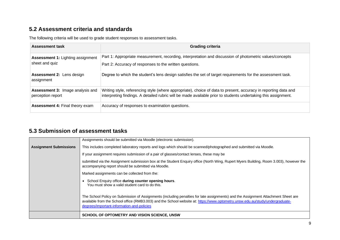## **5.2 Assessment criteria and standards**

The following criteria will be used to grade student responses to assessment tasks.

| <b>Assessment task</b>                                       | <b>Grading criteria</b>                                                                                                                                                                                                           |
|--------------------------------------------------------------|-----------------------------------------------------------------------------------------------------------------------------------------------------------------------------------------------------------------------------------|
| <b>Assessment 1: Lighting assignment</b><br>sheet and quiz   | Part 1: Appropriate measurement, recording, interpretation and discussion of photometric values/concepts<br>Part 2: Accuracy of responses to the written questions.                                                               |
| <b>Assessment 2: Lens design</b><br>assignment               | Degree to which the student's lens design satisfies the set of target requirements for the assessment task.                                                                                                                       |
| <b>Assessment 3: Image analysis and</b><br>perception report | Writing style, referencing style (where appropriate), choice of data to present, accuracy in reporting data and<br>interpreting findings. A detailed rubric will be made available prior to students undertaking this assignment. |
| <b>Assessment 4: Final theory exam</b>                       | Accuracy of responses to examination questions.                                                                                                                                                                                   |

## **5.3 Submission of assessment tasks**

|                               | SCHOOL OF OPTOMETRY AND VISION SCIENCE, UNSW                                                                                                                                                                                                                                                                     |
|-------------------------------|------------------------------------------------------------------------------------------------------------------------------------------------------------------------------------------------------------------------------------------------------------------------------------------------------------------|
|                               | The School Policy on Submission of Assignments (including penalties for late assignments) and the Assignment Attachment Sheet are<br>available from the School office (RMB3.003) and the School website at: https://www.optometry.unsw.edu.au/study/undergraduate-<br>degrees/important-information-and-policies |
|                               | School Enquiry office during counter opening hours.<br>You must show a valid student card to do this.                                                                                                                                                                                                            |
|                               | Marked assignments can be collected from the:                                                                                                                                                                                                                                                                    |
|                               | submitted via the Assignment submission box at the Student Enquiry office (North Wing, Rupert Myers Building, Room 3.003), however the<br>accompanying report should be submitted via Moodle.                                                                                                                    |
|                               | If your assignment requires submission of a pair of glasses/contact lenses, these may be                                                                                                                                                                                                                         |
| <b>Assignment Submissions</b> | This includes completed laboratory reports and logs which should be scanned/photographed and submitted via Moodle.                                                                                                                                                                                               |
|                               | Assignments should be submitted via Moodle (electronic submission).                                                                                                                                                                                                                                              |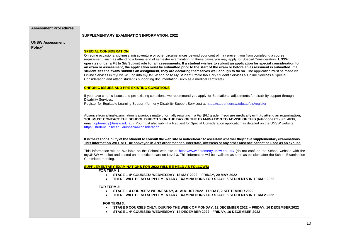| <b>Assessment Procedures</b> |                                                                                                                                                                                                                                                                                               |  |  |
|------------------------------|-----------------------------------------------------------------------------------------------------------------------------------------------------------------------------------------------------------------------------------------------------------------------------------------------|--|--|
|                              | SUPPLEMENTARY EXAMINATION INFORMATION, 2022                                                                                                                                                                                                                                                   |  |  |
|                              |                                                                                                                                                                                                                                                                                               |  |  |
| <b>UNSW Assessment</b>       |                                                                                                                                                                                                                                                                                               |  |  |
| Policy <sup>1</sup>          | <b>SPECIAL CONSIDERATION</b>                                                                                                                                                                                                                                                                  |  |  |
|                              | On some occasions, sickness, misadventure or other circumstances beyond your control may prevent you from completing a course                                                                                                                                                                 |  |  |
|                              | requirement, such as attending a formal end of semester examination. In these cases you may apply for Special Consideration. UNSW                                                                                                                                                             |  |  |
|                              | operates under a Fit to Sit/ Submit rule for all assessments. If a student wishes to submit an application for special consideration for                                                                                                                                                      |  |  |
|                              | an exam or assessment, the application must be submitted prior to the start of the exam or before an assessment is submitted. If a                                                                                                                                                            |  |  |
|                              | student sits the exam/ submits an assignment, they are declaring themselves well enough to do so. The application must be made via<br>Online Services in myUNSW. Log into myUNSW and go to My Student Profile tab > My Student Services > Online Services > Special                           |  |  |
|                              | Consideration and attach student's supporting documentation (such as a medical certificate).                                                                                                                                                                                                  |  |  |
|                              |                                                                                                                                                                                                                                                                                               |  |  |
|                              | <b>CHRONIC ISSUES AND PRE-EXISTING CONDITIONS</b>                                                                                                                                                                                                                                             |  |  |
|                              | If you have chronic issues and pre-existing conditions, we recommend you apply for Educational adjustments for disability support through                                                                                                                                                     |  |  |
|                              | Disability Services.                                                                                                                                                                                                                                                                          |  |  |
|                              | Register for Equitable Learning Support (formerly Disability Support Services) at https://student.unsw.edu.au/els/register                                                                                                                                                                    |  |  |
|                              |                                                                                                                                                                                                                                                                                               |  |  |
|                              | Absence from a final examination is a serious matter, normally resulting in a Fail (FL) grade. If you are medically unfit to attend an examination,                                                                                                                                           |  |  |
|                              | YOU MUST CONTACT THE SCHOOL DIRECTLY ON THE DAY OF THE EXAMINATION TO ADVISE OF THIS (telephone 02 9385 4639,                                                                                                                                                                                 |  |  |
|                              | email: optometry@unsw.edu.au). You must also submit a Request for Special Consideration application as detailed on the UNSW website:                                                                                                                                                          |  |  |
|                              | https://student.unsw.edu.au/special-consideration                                                                                                                                                                                                                                             |  |  |
|                              |                                                                                                                                                                                                                                                                                               |  |  |
|                              | It is the responsibility of the student to consult the web site or noticeboard to ascertain whether they have supplementary examinations.                                                                                                                                                     |  |  |
|                              | This information WILL NOT be conveyed in ANY other manner. Interstate, overseas or any other absence cannot be used as an excuse.                                                                                                                                                             |  |  |
|                              |                                                                                                                                                                                                                                                                                               |  |  |
|                              | This information will be available on the School web site at https://www.optometry.unsw.edu.au/ (do not confuse the School website with the<br>myUNSW website) and posted on the notice board on Level 3. This information will be available as soon as possible after the School Examination |  |  |
|                              | Committee meeting.                                                                                                                                                                                                                                                                            |  |  |
|                              |                                                                                                                                                                                                                                                                                               |  |  |
|                              | <b>SUPPLEMENTARY EXAMINATIONS FOR 2022 WILL BE HELD AS FOLLOWS:</b>                                                                                                                                                                                                                           |  |  |
|                              | FOR TERM 1:                                                                                                                                                                                                                                                                                   |  |  |
|                              | STAGE 1-4* COURSES: WEDNESDAY, 18 MAY 2022 - FRIDAY, 20 MAY 2022<br>$\bullet$<br>THERE WILL BE NO SUPPLEMENTARY EXAMINATIONS FOR STAGE 5 STUDENTS IN TERM 1 2022                                                                                                                              |  |  |
|                              |                                                                                                                                                                                                                                                                                               |  |  |
|                              | <b>FOR TERM 2:</b>                                                                                                                                                                                                                                                                            |  |  |
|                              | STAGE 1-4 COURSES: WEDNESDAY, 31 AUGUST 2022 - FRIDAY, 2 SEPTEMBER 2022<br>$\bullet$                                                                                                                                                                                                          |  |  |
|                              | THERE WILL BE NO SUPPLEMENTARY EXAMINATIONS FOR STAGE 5 STUDENTS IN TERM 2 2022<br>$\bullet$                                                                                                                                                                                                  |  |  |
|                              | <b>FOR TERM 3:</b>                                                                                                                                                                                                                                                                            |  |  |
|                              | STAGE 5 COURSES ONLY: DURING THE WEEK OF MONDAY, 12 DECEMBER 2022 - FRIDAY, 16 DECEMBER 2022<br>$\bullet$                                                                                                                                                                                     |  |  |
|                              | STAGE 1-4* COURSES: WEDNESDAY, 14 DECEMBER 2022 - FRIDAY, 16 DECEMBER 2022                                                                                                                                                                                                                    |  |  |
|                              |                                                                                                                                                                                                                                                                                               |  |  |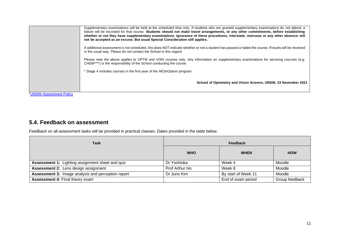|                                     | Supplementary examinations will be held at the scheduled time only. If students who are granted supplementary examinations do not attend, a<br>failure will be recorded for that course. Students should not make travel arrangements, or any other commitments, before establishing<br>whether or not they have supplementary examinations. Ignorance of these procedures, interstate, overseas or any other absence will<br>not be accepted as an excuse. But usual Special Consideration still applies.<br>If additional assessment is not scheduled, this does NOT indicate whether or not a student has passed or failed the course. Results will be received<br>in the usual way. Please do not contact the School in this regard.<br>Please note the above applies to OPTM and VISN courses only. Any information on supplementary examinations for servicing courses (e.g.<br>CHEM****) is the responsibility of the School conducting the course. |
|-------------------------------------|------------------------------------------------------------------------------------------------------------------------------------------------------------------------------------------------------------------------------------------------------------------------------------------------------------------------------------------------------------------------------------------------------------------------------------------------------------------------------------------------------------------------------------------------------------------------------------------------------------------------------------------------------------------------------------------------------------------------------------------------------------------------------------------------------------------------------------------------------------------------------------------------------------------------------------------------------------|
|                                     | * Stage 4 includes courses in the first year of the MClinOptom program.<br>School of Optometry and Vision Science, UNSW, 23 November 2021                                                                                                                                                                                                                                                                                                                                                                                                                                                                                                                                                                                                                                                                                                                                                                                                                  |
| <sup>1</sup> UNSW Assessment Policy |                                                                                                                                                                                                                                                                                                                                                                                                                                                                                                                                                                                                                                                                                                                                                                                                                                                                                                                                                            |

## **5.4. Feedback on assessment**

Feedback on all assessment tasks will be provided in practical classes. Dates provided in the table below.

| <b>Task</b>                                               | Feedback       |                     |                |
|-----------------------------------------------------------|----------------|---------------------|----------------|
|                                                           | <b>WHO</b>     | <b>WHEN</b>         | <b>HOW</b>     |
| <b>Assessment 1:</b> Lighting assignment sheet and quiz   | Dr Yoshioka    | Week 4              | Moodle         |
| Assessment 2: Lens design assignment                      | Prof Arthur Ho | Week 8              | Moodle         |
| <b>Assessment 3: Image analysis and perception report</b> | Dr Juno Kim    | By start of Week 11 | Moodle         |
| <b>Assessment 4: Final theory exam</b>                    |                | End of exam period  | Group feedback |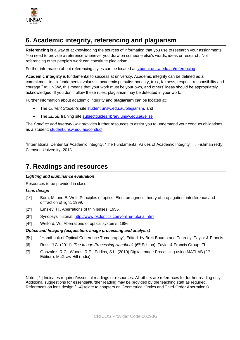

# **6. Academic integrity, referencing and plagiarism**

**Referencing** is a way of acknowledging the sources of information that you use to research your assignments. You need to provide a reference whenever you draw on someone else's words, ideas or research. Not referencing other people's work can constitute plagiarism.

Further information about referencing styles can be located at [student.unsw.edu.au/referencing](https://student.unsw.edu.au/referencing)

**Academic integrity** is fundamental to success at university. Academic integrity can be defined as a commitment to six fundamental values in academic pursuits**:** honesty, trust, fairness, respect, responsibility and courage.<sup>2</sup> At UNSW, this means that your work must be your own, and others' ideas should be appropriately acknowledged. If you don't follow these rules, plagiarism may be detected in your work.

Further information about academic integrity and **plagiarism** can be located at:

- The *Current Students* site [student.unsw.edu.au/plagiarism](https://student.unsw.edu.au/plagiarism)*,* and
- The *ELISE* training site [subjectguides.library.unsw.edu.au/elise](http://subjectguides.library.unsw.edu.au/elise)

The *Conduct and Integrity Unit* provides further resources to assist you to understand your conduct obligations as a student: [student.unsw.edu.au/conduct.](https://student.unsw.edu.au/conduct)

<sup>2</sup>International Center for Academic Integrity, 'The Fundamental Values of Academic Integrity', T. Fishman (ed), Clemson University, 2013.

## **7. Readings and resources**

#### *Lighting and illuminance evaluation*

Resources to be provided in class.

#### *Lens design*

- [1\*] Born, M. and E. Wolf, Principles of optics. Electromagnetic theory of propagation, interference and diffraction of light. 1999.
- [2\*] Emsley, H., Aberrations of thin lenses. 1956.
- [3\*] Synopsys Tutorial: [http://www.osdoptics.com/online](http://www.osdoptics.com/online‐tutorial.html)-tutorial.html
- [4\*] Welford, W., Aberrations of optical systems. 1986

#### *Optics and Imaging (acquisition, image processing and analysis)*

- [5\*] "Handbook of Optical Coherence Tomography", Edited by Brett Bouma and Tearney, Taylor & Francis.
- [6] Russ, J.C. (2011). *The Image Processing Handbook* (6 th Edition), Taylor & Francis Group: FL
- [7] Gonzalez, R.C., Woods, R.E., Eddins, S.L. (2010) Digital Image Processing using MATLAB (2<sup>nd</sup>) Edition). McGraw Hill (India).

Note: [ \* ] Indicates required/essential readings or resources. All others are references for further reading only. Additional suggestions for essential/further reading may be provided by the teaching staff as required. References on lens design [1-4] relate to chapters on Geometrical Optics and Third-Order Aberrations).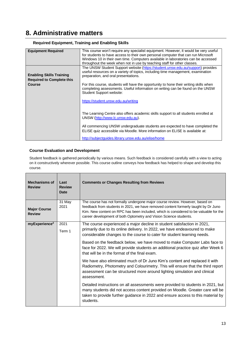## **8. Administrative matters**

| This course won't require any specialist equipment. However, it would be very useful<br>for students to have access to their own personal computer that can run Microsoft<br>Windows 10 in their own time. Computers available in laboratories can be accessed<br>throughout the week when not in use by teaching staff for other classes. |
|--------------------------------------------------------------------------------------------------------------------------------------------------------------------------------------------------------------------------------------------------------------------------------------------------------------------------------------------|
| The UNSW Student Support website (https://student.unsw.edu.au/support) provides<br>useful resources on a variety of topics, including time management, examination<br>preparation, and oral presentations.                                                                                                                                 |
| For this course, students will have the opportunity to hone their writing skills when<br>completing assessments. Useful information on writing can be found on the UNSW<br>Student Support website:                                                                                                                                        |
| https://student.unsw.edu.au/writing                                                                                                                                                                                                                                                                                                        |
| The Learning Centre also offers academic skills support to all students enrolled at<br>UNSW (http://www.lc.unsw.edu.au).                                                                                                                                                                                                                   |
| All commencing UNSW undergraduate students are expected to have completed the<br>ELISE quiz accessible via Moodle. More information on ELISE is available at:<br>http://subjectquides.library.unsw.edu.au/elise/home                                                                                                                       |
|                                                                                                                                                                                                                                                                                                                                            |

#### **Required Equipment, Training and Enabling Skills**

#### **Course Evaluation and Development**

Student feedback is gathered periodically by various means. Such feedback is considered carefully with a view to acting on it constructively wherever possible. This course outline conveys how feedback has helped to shape and develop this course.

| <b>Mechanisms of</b><br><b>Review</b> | Last<br><b>Review</b><br><b>Date</b> | <b>Comments or Changes Resulting from Reviews</b>                                                                                                                                                                                                                                                                                                                                                                                                 |  |
|---------------------------------------|--------------------------------------|---------------------------------------------------------------------------------------------------------------------------------------------------------------------------------------------------------------------------------------------------------------------------------------------------------------------------------------------------------------------------------------------------------------------------------------------------|--|
| <b>Major Course</b><br><b>Review</b>  | 31 May<br>2021                       | The course has not formally undergone major course review. However, based on<br>feedback from students in 2021, we have removed content formerly taught by Dr Juno<br>Kim. New content on RPC has been included, which is considered to be valuable for the<br>career development of both Optometry and Vision Science students.                                                                                                                  |  |
| myExperience <sup>2</sup>             | 2021<br>Term 1                       | The course experienced a major decline in student satisfaction in 2021,<br>primarily due to its online delivery. In 2022, we have endeavoured to make<br>considerable changes to the course to cater for student learning needs.<br>Based on the feedback below, we have moved to make Computer Labs face to<br>face for 2022. We will provide students an additional practice quiz after Week 6<br>that will be in the format of the final exam. |  |
|                                       |                                      | We have also eliminated much of Dr Juno Kim's content and replaced it with<br>Radiometry, Photometry and Colourimetry. This will ensure that the third report<br>assessment can be structured more around lighting simulation and clinical<br>assessment.                                                                                                                                                                                         |  |
|                                       |                                      | Detailed instructions on all assessments were provided to students in 2021, but<br>many students did not access content provided on Moodle. Greater care will be<br>taken to provide further guidance in 2022 and ensure access to this material by<br>students.                                                                                                                                                                                  |  |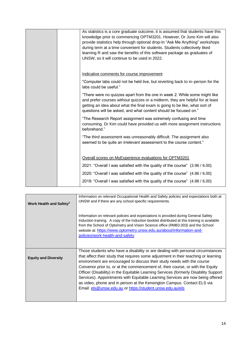|  | As statistics is a core graduate outcome, it is assumed that students have this<br>knowledge prior to commencing OPTM3201. However, Dr Juno Kim will also<br>provide statistics help through optional drop-In "Ask Me Anything" workshops<br>during term at a time convenient for students. Students collectively liked<br>learning R and saw the benefits of this software package as graduates of<br>UNSW, so it will continue to be used in 2022. |
|--|------------------------------------------------------------------------------------------------------------------------------------------------------------------------------------------------------------------------------------------------------------------------------------------------------------------------------------------------------------------------------------------------------------------------------------------------------|
|  | Indicative comments for course improvement<br>"Computer labs could not be held live, but reverting back to in-person for the<br>labs could be useful."                                                                                                                                                                                                                                                                                               |
|  | "There were no quizzes apart from the one in week 2. While some might like<br>and prefer courses without quizzes or a midterm, they are helpful for at least<br>getting an idea about what the final exam is going to be like, what sort of<br>questions will be asked, and what content should be focused on."                                                                                                                                      |
|  | "The Research Report assignment was extremely confusing and time<br>consuming. Dr Kim could have provided us with more assignment instructions<br>beforehand."                                                                                                                                                                                                                                                                                       |
|  | "The third assessment was unreasonably difficult. The assignment also<br>seemed to be quite an irrelevant assessment to the course content."                                                                                                                                                                                                                                                                                                         |
|  | Overall scores on MyExperience evaluations for OPTM3201<br>2021: "Overall I was satisfied with the quality of the course" (3.96 / 6.00)<br>2020: "Overall I was satisfied with the quality of the course" (4.86 / 6.00)                                                                                                                                                                                                                              |
|  | 2019: "Overall I was satisfied with the quality of the course" (4.88 / 6.00)                                                                                                                                                                                                                                                                                                                                                                         |

| Work Health and Safety <sup>3</sup> | Information on relevant Occupational Health and Safety policies and expectations both at<br>UNSW and if there are any school specific requirements.                                                                                                                                                                                                                                                                                                                                                                                                                                                                                                     |
|-------------------------------------|---------------------------------------------------------------------------------------------------------------------------------------------------------------------------------------------------------------------------------------------------------------------------------------------------------------------------------------------------------------------------------------------------------------------------------------------------------------------------------------------------------------------------------------------------------------------------------------------------------------------------------------------------------|
|                                     | Information on relevant policies and expectations is provided during General Safety<br>Induction training. A copy of the Induction booklet distributed at this training is available<br>from the School of Optometry and Vision Science office (RMB3.003) and the School<br>website at: https://www.optometry.unsw.edu.au/about/information-and-<br>policies/work-health-and-safety                                                                                                                                                                                                                                                                     |
| <b>Equity and Diversity</b>         | Those students who have a disability or are dealing with personal circumstances<br>that affect their study that requires some adjustment in their teaching or learning<br>environment are encouraged to discuss their study needs with the course<br>Convenor prior to, or at the commencement of, their course, or with the Equity<br>Officer (Disability) in the Equitable Learning Services (formerly Disability Support<br>Services). Appointments with Equitable Learning Services are now being offered<br>as video, phone and in person at the Kensington Campus. Contact ELS via<br>Email: els @ unsw.edu.au or https://student.unsw.edu.au/els |